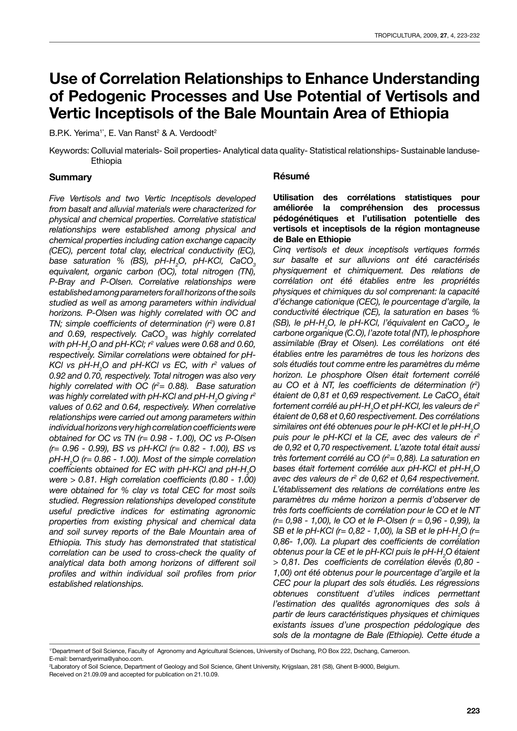# **Use of Correlation Relationships to Enhance Understanding of Pedogenic Processes and Use Potential of Vertisols and Vertic Inceptisols of the Bale Mountain Area of Ethiopia**

B.P.K. Yerima<sup>1\*</sup>, E. Van Ranst<sup>2</sup> & A. Verdoodt<sup>2</sup>

Keywords: Colluvial materials- Soil properties- Analytical data quality- Statistical relationships- Sustainable landuse-Ethiopia

#### **Summary**

*Five Vertisols and two Vertic Inceptisols developed from basalt and alluvial materials were characterized for physical and chemical properties. Correlative statistical relationships were established among physical and chemical properties including cation exchange capacity (CEC), percent total clay, electrical conductivity (EC), base saturation % (BS), pH-H2 O, pH-KCl, CaCO3 equivalent, organic carbon (OC), total nitrogen (TN), P-Bray and P-Olsen. Correlative relationships were established among parameters for all horizons of the soils studied as well as among parameters within individual horizons. P-Olsen was highly correlated with OC and TN; simple coefficients of determination (r<sup>2</sup> ) were 0.81*  and 0.69, respectively. CaCO<sub>3</sub> was highly correlated *with pH-H2 O and pH-KCl; r2 values were 0.68 and 0.60, respectively. Similar correlations were obtained for pH-KCl vs pH-H2 O and pH-KCl vs EC, with r2 values of 0.92 and 0.70, respectively. Total nitrogen was also very highly correlated with OC (r2 = 0.88). Base saturation was highly correlated with pH-KCl and pH-H2 O giving r2 values of 0.62 and 0.64, respectively. When correlative relationships were carried out among parameters within individual horizons very high correlation coefficients were obtained for OC vs TN (r= 0.98 - 1.00), OC vs P-Olsen (r= 0.96 - 0.99), BS vs pH-KCl (r= 0.82 - 1.00), BS vs pH-H2 O (r= 0.86 - 1.00). Most of the simple correlation coefficients obtained for EC with pH-KCl and pH-H<sup>2</sup> O were > 0.81. High correlation coefficients (0.80 - 1.00) were obtained for % clay vs total CEC for most soils studied. Regression relationships developed constitute useful predictive indices for estimating agronomic properties from existing physical and chemical data and soil survey reports of the Bale Mountain area of Ethiopia. This study has demonstrated that statistical correlation can be used to cross-check the quality of analytical data both among horizons of different soil profiles and within individual soil profiles from prior established relationships.*

#### **Résumé**

#### **Utilisation des corrélations statistiques pour améliorée la compréhension des processus pédogénétiques et l'utilisation potentielle des vertisols et inceptisols de la région montagneuse de Bale en Ethiopie**

*Cinq vertisols et deux inceptisols vertiques formés sur basalte et sur alluvions ont été caractérisés physiquement et chimiquement. Des relations de corrélation ont été établies entre les propriétés physiques et chimiques du sol comprenant: la capacité d'échange cationique (CEC), le pourcentage d'argile, la conductivité électrique (CE), la saturation en bases % (SB), le pH-H<sub>2</sub>O, le pH-KCl, l'équivalent en CaCO<sub>3</sub>, le carbone organique (C.O), l'azote total (NT), le phosphore assimilable (Bray et Olsen). Les corrélations ont été établies entre les paramètres de tous les horizons des sols étudiés tout comme entre les paramètres du même horizon. Le phosphore Olsen était fortement corrélé au CO et à NT, les coefficients de détermination (r<sup>2</sup> )*  étaient de 0,81 et 0,69 respectivement. Le CaCO<sub>3</sub> était *fortement corrélé au pH-H2 O et pH-KCl, les valeurs de r2 étaient de 0,68 et 0,60 respectivement. Des corrélations similaires ont été obtenues pour le pH-KCl et le pH-H2 O puis pour le pH-KCl et la CE, avec des valeurs de r2 de 0,92 et 0,70 respectivement. L'azote total était aussi très fortement corrélé au CO (r2 = 0,88). La saturation en bases était fortement corrélée aux pH-KCl et pH-H2 O avec des valeurs de r2 de 0,62 et 0,64 respectivement. L'établissement des relations de corrélations entre les paramètres du même horizon a permis d'observer de très forts coefficients de corrélation pour le CO et le NT (r= 0,98 - 1,00), le CO et le P-Olsen (r = 0,96 - 0,99), la SB et le pH-KCl (r= 0,82 - 1,00), la SB et le pH-H<sub>2</sub>O (r= 0,86- 1,00). La plupart des coefficients de corrélation obtenus pour la CE et le pH-KCl puis le pH-H2 O étaient > 0,81. Des coefficients de corrélation élevés (0,80 - 1,00) ont été obtenus pour le pourcentage d'argile et la CEC pour la plupart des sols étudiés. Les régressions obtenues constituent d'utiles indices permettant l'estimation des qualités agronomiques des sols à partir de leurs caractéristiques physiques et chimiques existants issues d'une prospection pédologique des sols de la montagne de Bale (Ethiopie). Cette étude a* 

<sup>1\*</sup>Department of Soil Science, Faculty of Agronomy and Agricultural Sciences, University of Dschang, P.O Box 222, Dschang, Cameroon. E-mail: bernardyerima@yahoo.com.

<sup>2</sup> Laboratory of Soil Science, Department of Geology and Soil Science, Ghent University, Krijgslaan, 281 (S8), Ghent B-9000, Belgium. Received on 21.09.09 and accepted for publication on 21.10.09.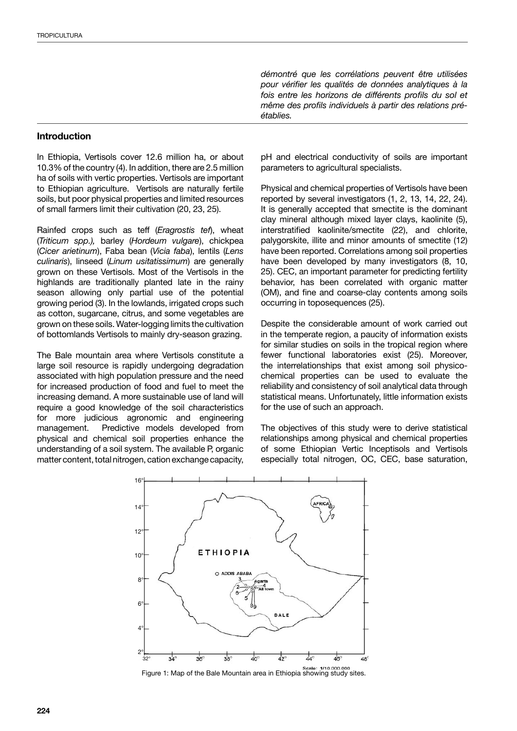*démontré que les corrélations peuvent être utilisées pour vérifier les qualités de données analytiques à la fois entre les horizons de différents profils du sol et même des profils individuels à partir des relations préétablies.*

#### **Introduction**

In Ethiopia, Vertisols cover 12.6 million ha, or about 10.3% of the country (4). In addition, there are 2.5 million ha of soils with vertic properties. Vertisols are important to Ethiopian agriculture. Vertisols are naturally fertile soils, but poor physical properties and limited resources of small farmers limit their cultivation (20, 23, 25).

Rainfed crops such as teff (*Eragrostis tef*), wheat (*Triticum spp.),* barley (*Hordeum vulgare*), chickpea (*Cicer arietinum*), Faba bean (*Vicia faba*), lentils (*Lens culinaris*), linseed (*Linum usitatissimum*) are generally grown on these Vertisols. Most of the Vertisols in the highlands are traditionally planted late in the rainy season allowing only partial use of the potential growing period (3). In the lowlands, irrigated crops such as cotton, sugarcane, citrus, and some vegetables are grown on these soils. Water-logging limits the cultivation of bottomlands Vertisols to mainly dry-season grazing.

The Bale mountain area where Vertisols constitute a large soil resource is rapidly undergoing degradation associated with high population pressure and the need for increased production of food and fuel to meet the increasing demand. A more sustainable use of land will require a good knowledge of the soil characteristics for more judicious agronomic and engineering management. Predictive models developed from physical and chemical soil properties enhance the understanding of a soil system. The available P, organic matter content, total nitrogen, cation exchange capacity,

pH and electrical conductivity of soils are important parameters to agricultural specialists.

Physical and chemical properties of Vertisols have been reported by several investigators (1, 2, 13, 14, 22, 24). It is generally accepted that smectite is the dominant clay mineral although mixed layer clays, kaolinite (5), interstratified kaolinite/smectite (22), and chlorite, palygorskite, illite and minor amounts of smectite (12) have been reported. Correlations among soil properties have been developed by many investigators (8, 10, 25). CEC, an important parameter for predicting fertility behavior, has been correlated with organic matter (OM), and fine and coarse-clay contents among soils occurring in toposequences (25).

Despite the considerable amount of work carried out in the temperate region, a paucity of information exists for similar studies on soils in the tropical region where fewer functional laboratories exist (25). Moreover, the interrelationships that exist among soil physicochemical properties can be used to evaluate the reliability and consistency of soil analytical data through statistical means. Unfortunately, little information exists for the use of such an approach.

The objectives of this study were to derive statistical relationships among physical and chemical properties of some Ethiopian Vertic Inceptisols and Vertisols especially total nitrogen, OC, CEC, base saturation,



Figure 1: Map of the Bale Mountain area in Ethiopia showing study sites.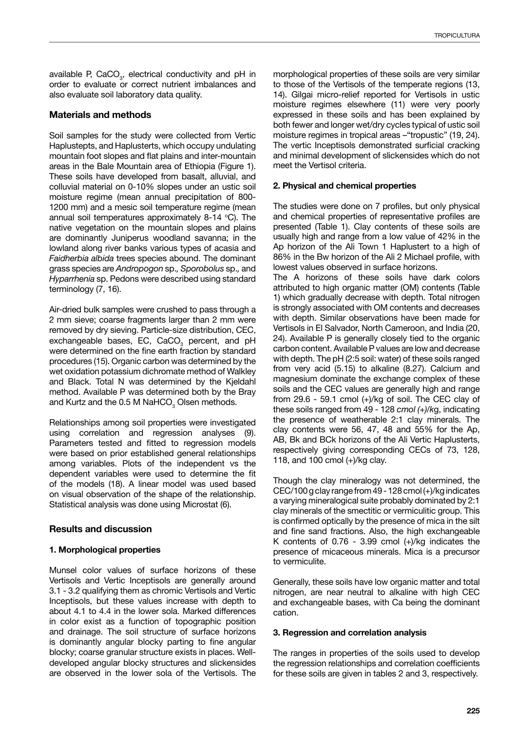available P, CaCO<sub>3</sub>, electrical conductivity and pH in order to evaluate or correct nutrient imbalances and also evaluate soil laboratory data quality.

## **Materials and methods**

Soil samples for the study were collected from Vertic Haplustepts, and Haplusterts, which occupy undulating mountain foot slopes and flat plains and inter-mountain areas in the Bale Mountain area of Ethiopia (Figure 1). These soils have developed from basalt, alluvial, and colluvial material on 0-10% slopes under an ustic soil moisture regime (mean annual precipitation of 800- 1200 mm) and a mesic soil temperature regime (mean annual soil temperatures approximately 8-14  $^{\circ}$ C). The native vegetation on the mountain slopes and plains are dominantly Juniperus woodland savanna; in the lowland along river banks various types of acasia and *Faidherbia albida* trees species abound. The dominant grass species are *Andropogon* sp.*, Sporobolus* sp.*,* and *Hyparrhenia* sp. Pedons were described using standard terminology (7, 16).

Air-dried bulk samples were crushed to pass through a 2 mm sieve; coarse fragments larger than 2 mm were removed by dry sieving. Particle-size distribution, CEC, exchangeable bases, EC, CaCO<sub>3</sub> percent, and pH were determined on the fine earth fraction by standard procedures (15). Organic carbon was determined by the wet oxidation potassium dichromate method of Walkley and Black. Total N was determined by the Kjeldahl method. Available P was determined both by the Bray and Kurtz and the 0.5 M NaHCO $_{\tiny 3}$  Olsen methods.

Relationships among soil properties were investigated using correlation and regression analyses (9). Parameters tested and fitted to regression models were based on prior established general relationships among variables. Plots of the independent vs the dependent variables were used to determine the fit of the models (18). A linear model was used based on visual observation of the shape of the relationship. Statistical analysis was done using Microstat (6).

## **Results and discussion**

## **1. Morphological properties**

Munsel color values of surface horizons of these Vertisols and Vertic Inceptisols are generally around 3.1 - 3.2 qualifying them as chromic Vertisols and Vertic Inceptisols, but these values increase with depth to about 4.1 to 4.4 in the lower sola. Marked differences in color exist as a function of topographic position and drainage. The soil structure of surface horizons is dominantly angular blocky parting to fine angular blocky; coarse granular structure exists in places. Welldeveloped angular blocky structures and slickensides are observed in the lower sola of the Vertisols. The morphological properties of these soils are very similar to those of the Vertisols of the temperate regions (13, 14). Gilgai micro-relief reported for Vertisols in ustic moisture regimes elsewhere (11) were very poorly expressed in these soils and has been explained by both fewer and longer wet/dry cycles typical of ustic soil moisture regimes in tropical areas –"tropustic" (19, 24). The vertic Inceptisols demonstrated surficial cracking and minimal development of slickensides which do not meet the Vertisol criteria.

## **2. Physical and chemical properties**

The studies were done on 7 profiles, but only physical and chemical properties of representative profiles are presented (Table 1). Clay contents of these soils are usually high and range from a low value of 42% in the Ap horizon of the Ali Town 1 Haplustert to a high of 86% in the Bw horizon of the Ali 2 Michael profile, with lowest values observed in surface horizons.

The A horizons of these soils have dark colors attributed to high organic matter (OM) contents (Table 1) which gradually decrease with depth. Total nitrogen is strongly associated with OM contents and decreases with depth. Similar observations have been made for Vertisols in El Salvador, North Cameroon, and India (20, 24). Available P is generally closely tied to the organic carbon content. Available P values are low and decrease with depth. The pH (2:5 soil: water) of these soils ranged from very acid (5.15) to alkaline (8.27). Calcium and magnesium dominate the exchange complex of these soils and the CEC values are generally high and range from  $29.6 - 59.1$  cmol  $(+)/$ kg of soil. The CEC clay of these soils ranged from 49 - 128 *cmol (+)/k*g, indicating the presence of weatherable 2:1 clay minerals. The clay contents were 56, 47, 48 and 55% for the Ap, AB, Bk and BCk horizons of the Ali Vertic Haplusterts, respectively giving corresponding CECs of 73, 128, 118, and 100 cmol (+)/kg clay*.*

Though the clay mineralogy was not determined, the CEC/100 g clay range from 49 - 128 cmol (+)/kg indicates a varying mineralogical suite probably dominated by 2:1 clay minerals of the smectitic or vermiculitic group. This is confirmed optically by the presence of mica in the silt and fine sand fractions. Also, the high exchangeable K contents of  $0.76 - 3.99$  cmol  $(+)/kg$  indicates the presence of micaceous minerals. Mica is a precursor to vermiculite.

Generally, these soils have low organic matter and total nitrogen, are near neutral to alkaline with high CEC and exchangeable bases, with Ca being the dominant cation.

## **3. Regression and correlation analysis**

The ranges in properties of the soils used to develop the regression relationships and correlation coefficients for these soils are given in tables 2 and 3, respectively.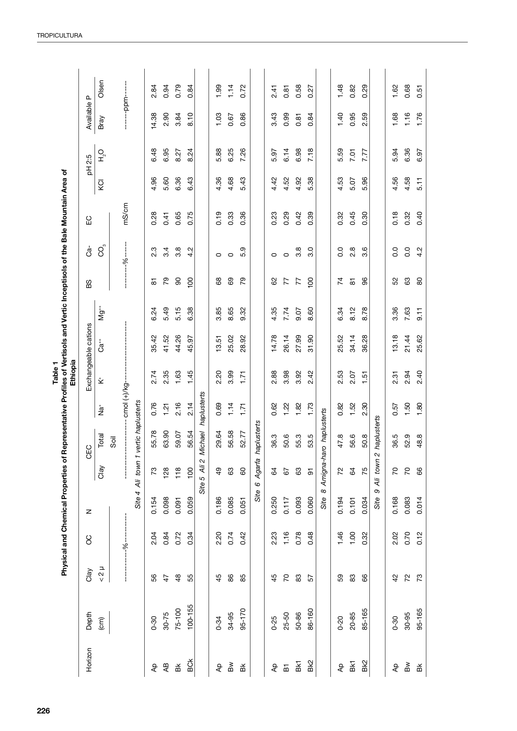|                                                                                                                                                                   |                      | Olsen                    |         | -------ppm-------                     |                 | 2.84                                                                                                                       | 0.94                     | 0.79                            | 0.84                   |              | 99.            | 1.14            | 0.72               |                   | 2.41                         | 0.81                  | 0.58  | 27<br>ö                 |                  | 1.48                                             | 0.82           | 0.29        |                  | 1.62           | 0.68                   | 0.51                            |      |           |  |      |      |      |  |  |  |      |      |      |  |      |      |      |      |  |      |      |      |
|-------------------------------------------------------------------------------------------------------------------------------------------------------------------|----------------------|--------------------------|---------|---------------------------------------|-----------------|----------------------------------------------------------------------------------------------------------------------------|--------------------------|---------------------------------|------------------------|--------------|----------------|-----------------|--------------------|-------------------|------------------------------|-----------------------|-------|-------------------------|------------------|--------------------------------------------------|----------------|-------------|------------------|----------------|------------------------|---------------------------------|------|-----------|--|------|------|------|--|--|--|------|------|------|--|------|------|------|------|--|------|------|------|
| Representative Profiles of Vertisols and Vertic Inceptisols of the Bale Mountain Area of<br>Ethiopia<br>Table <sub>1</sub><br>Physical and Chemical Properties of | Available P          | Bray                     |         |                                       |                 | 14.38                                                                                                                      | 2.90                     | 3.84                            | 8.10                   | 1.03         | 0.67           | 0.86            |                    | 3.43              | 0.99                         | 0.81                  | 0.84  |                         | 1.40             | 0.95                                             | 2.59           |             | 1.68             | 1.16           | 1.76                   |                                 |      |           |  |      |      |      |  |  |  |      |      |      |  |      |      |      |      |  |      |      |      |
|                                                                                                                                                                   | 2.5<br>됨             | Ο<br>Ι                   |         |                                       |                 | 6.48                                                                                                                       | 6.95                     | 8.27                            | 8.24                   | 5.88         | 6.25           | 7.26            |                    | 5.97              | 6.14                         | 6.98                  | 7.18  | 5.59                    |                  | 7.01                                             | 7.77           |             | 5.94             | 6.36           | 6.97                   |                                 |      |           |  |      |      |      |  |  |  |      |      |      |  |      |      |      |      |  |      |      |      |
|                                                                                                                                                                   |                      | KCI                      |         |                                       |                 | 4.96                                                                                                                       | 5.60                     | 6.36                            | 6.43                   |              |                |                 |                    |                   |                              |                       | 4.36  | 4.68                    | 5.43             |                                                  | 4.42           | 4.52        | 4.92             | 5.38           |                        | 4.53                            | 5.07 | 96<br>ιó. |  | 4.56 | 4.58 | 5.11 |  |  |  |      |      |      |  |      |      |      |      |  |      |      |      |
|                                                                                                                                                                   | 55                   |                          | mS/cm   |                                       |                 | 0.28                                                                                                                       | 0.41                     | 0.65                            | 0.75                   | 0.19         | 0.33           | 0.36            |                    | 0.23              | 0.29                         | 0.42                  | 0.39  |                         | 0.32             | 0.45                                             | 0.30           |             | 0.18             | 0.32           | 0.40                   |                                 |      |           |  |      |      |      |  |  |  |      |      |      |  |      |      |      |      |  |      |      |      |
|                                                                                                                                                                   | ය්                   | S<br>C<br>               |         | $-1 - 96$                             |                 |                                                                                                                            | 2.3<br>3.4<br>54<br>ᇮ    | 3.8                             | $\mathbf{\Omega}$<br>4 |              | 0<br>89        | $\circ$         | တ<br>τò.           |                   | 0                            | $\circ$               | 3.8   | $\circ$<br>က            |                  | $\overline{0}$ .<br>œ<br>$\overline{\mathsf{N}}$ | ဖ<br>က်        |             | $\overline{0}$ . | 0.0            | Ņ<br>4                 |                                 |      |           |  |      |      |      |  |  |  |      |      |      |  |      |      |      |      |  |      |      |      |
|                                                                                                                                                                   | BS                   |                          |         |                                       |                 | 80                                                                                                                         |                          | 8                               | ගි                     |              |                | 79              |                    | 29                | 77                           | 77                    | 8     |                         | 74               | $\overline{\circ}$                               | 8              |             | 52               | යි             | 80                     |                                 |      |           |  |      |      |      |  |  |  |      |      |      |  |      |      |      |      |  |      |      |      |
|                                                                                                                                                                   |                      | <sup>‡</sup> b⊅          |         | cmol $(+)/kg$ -<br>vertic haplusterts |                 | 5.49<br>5.15<br>6.24<br>35.42<br>41.52<br>44.26<br>2.35<br>1.63<br>2.74<br>2.16<br>0.76<br>1.21<br>55.78<br>63.90<br>59.07 |                          | 6.38<br>45.97                   |                        |              | 3.85           | 8.65            | 9.32               |                   | 4.35                         | 7.74                  | 0.07  | 8.60                    |                  | 6.34                                             | 8.12           | 8.78        |                  | 3.36           | 7.63                   | $-11$                           |      |           |  |      |      |      |  |  |  |      |      |      |  |      |      |      |      |  |      |      |      |
|                                                                                                                                                                   | Exchangeable cations | ပ္မီ                     |         |                                       |                 |                                                                                                                            |                          |                                 |                        | 13.51        | 25.02          | 28.92           |                    | 14.78             | 26.14                        | 27.99                 | 31.90 |                         | 25.52            | 34.14<br>36.28                                   |                |             | 13.18            | 21.44          | 25.62                  |                                 |      |           |  |      |      |      |  |  |  |      |      |      |  |      |      |      |      |  |      |      |      |
|                                                                                                                                                                   |                      | $\stackrel{\ast}{\cong}$ |         |                                       |                 |                                                                                                                            |                          | 1.45                            |                        |              | 2.20           | 3.99            | 1.71               |                   | 2.88<br>3.98<br>0.62<br>1.22 |                       | 3.92  | 2.42                    |                  | 2.53                                             | 2.07           | 1.51        |                  | 2.31           | 2.94                   | 2.40                            |      |           |  |      |      |      |  |  |  |      |      |      |  |      |      |      |      |  |      |      |      |
|                                                                                                                                                                   |                      | φĻ                       |         |                                       |                 |                                                                                                                            |                          |                                 | 2.14                   | haplusterts  | 0.69           | 1.14            | 1.71               |                   |                              |                       | 1.82  | 1.73                    |                  | 0.82                                             | 1.52           | 2.30        |                  | 0.57           | 1.50                   | 1.80                            |      |           |  |      |      |      |  |  |  |      |      |      |  |      |      |      |      |  |      |      |      |
|                                                                                                                                                                   | S.<br>ပ              | Total                    | Soil    |                                       |                 |                                                                                                                            |                          | 56.54                           | <b>Michael</b>         | 29.64        | 56.58          | 52.77           | haplusterts        | 36.3              | 50.6                         | 55.3                  | 53.5  | Amigna-haro haplusterts | 47.8             | 56.6                                             | 50.8           | haplusterts | 36.5             | 52.9           | 48.8                   |                                 |      |           |  |      |      |      |  |  |  |      |      |      |  |      |      |      |      |  |      |      |      |
|                                                                                                                                                                   |                      | Clay                     |         |                                       | Site 4 Ali town | 73                                                                                                                         | 128<br>118               |                                 | $\overline{100}$       | Site 5 Ali 2 | $\overline{6}$ | යි              | 60                 | Agarfa<br>$\circ$ | 64                           | 67                    | 63    | $\overline{5}$          |                  | 22                                               | $\mathfrak{g}$ | 75          | town 2<br>ξİ     | $\overline{C}$ | $\overline{C}$         | 89                              |      |           |  |      |      |      |  |  |  |      |      |      |  |      |      |      |      |  |      |      |      |
|                                                                                                                                                                   | z                    |                          | $-96--$ |                                       |                 | 0.154                                                                                                                      | 0.098                    | 0.091                           | 0.059                  |              | 0.186          | 0.085           | 0.051              | Site              | 0.250                        | 0.117                 | 0.093 | 0.060                   | $\infty$<br>Site | 0.194                                            | 0.101          | 0.034       | თ<br>Site        | 0.168          | 0.083                  | 0.014                           |      |           |  |      |      |      |  |  |  |      |      |      |  |      |      |      |      |  |      |      |      |
|                                                                                                                                                                   | SO                   |                          |         |                                       |                 | 2.04                                                                                                                       | 0.84                     | 0.72                            | 0.34                   |              |                |                 |                    |                   |                              |                       |       |                         |                  |                                                  |                |             |                  |                |                        |                                 |      |           |  |      |      |      |  |  |  | 2.20 | 0.74 | 0.42 |  | 2.23 | 1.16 | 0.78 | 0.48 |  | 1.46 | 1.00 | 0.32 |
|                                                                                                                                                                   | Clay                 | $< 2 \mu$                |         |                                       |                 | 99                                                                                                                         | $\ddot{4}$               | $\frac{8}{4}$                   | 55                     |              | 45             | 86              | 85                 |                   | 45                           | $\overline{C}$        | 83    | 57                      |                  | 59                                               | 83             | 89          |                  | $\overline{4}$ | $\overline{2}$         | 73                              |      |           |  |      |      |      |  |  |  |      |      |      |  |      |      |      |      |  |      |      |      |
|                                                                                                                                                                   | Depth                | $\widehat{c}$            |         |                                       |                 | $0 - 30$                                                                                                                   | $30 - 75$                | 75-100                          | 100-155                |              | $0 - 34$       | 34-95           | 95-170             |                   | $0 - 25$                     | 25-50                 | 50-86 | 86-160                  |                  | $0 - 20$                                         | 20-85          | 85-165      |                  | $0 - 30$       | 30-95                  | 95-165                          |      |           |  |      |      |      |  |  |  |      |      |      |  |      |      |      |      |  |      |      |      |
|                                                                                                                                                                   | Horizon              |                          |         |                                       |                 | ᡇ                                                                                                                          | $\overline{\mathsf{AB}}$ | $\frac{\mathsf{K}}{\mathsf{B}}$ | ă                      |              | ᡇ              | $\mathbbmss{B}$ | $\frac{\times}{2}$ |                   | ᡇ                            | $\overline{\text{B}}$ | 묏     | Bk2                     |                  | ᡇ                                                | BK.            | Bk2         |                  | $\overline{A}$ | $\mathbb{B}\mathbb{W}$ | $\frac{\mathsf{x}}{\mathsf{D}}$ |      |           |  |      |      |      |  |  |  |      |      |      |  |      |      |      |      |  |      |      |      |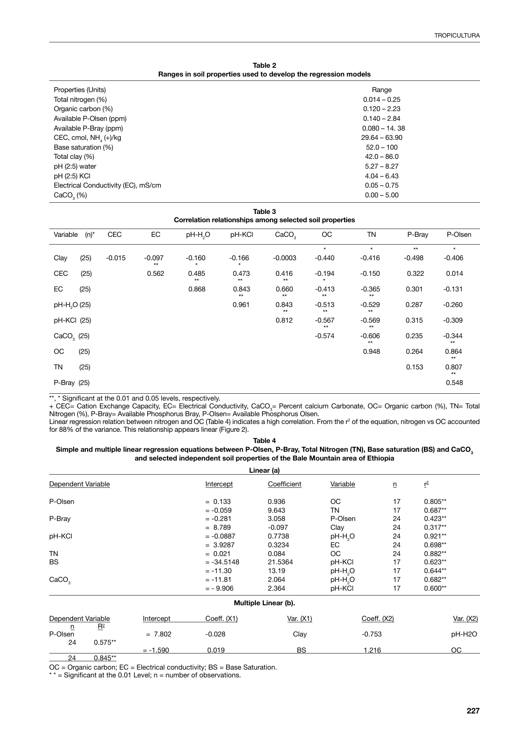| Table 2                                                         |
|-----------------------------------------------------------------|
| Ranges in soil properties used to develop the regression models |

| Properties (Units)                  | Range           |
|-------------------------------------|-----------------|
| Total nitrogen (%)                  | $0.014 - 0.25$  |
| Organic carbon (%)                  | $0.120 - 2.23$  |
| Available P-Olsen (ppm)             | $0.140 - 2.84$  |
| Available P-Bray (ppm)              | $0.080 - 14.38$ |
| CEC, cmol, $NH4(+)$ /kg             | $29.64 - 63.90$ |
| Base saturation (%)                 | $52.0 - 100$    |
| Total clay (%)                      | $42.0 - 86.0$   |
| $pH(2:5)$ water                     | $5.27 - 8.27$   |
| pH (2:5) KCI                        | $4.04 - 6.43$   |
| Electrical Conductivity (EC), mS/cm | $0.05 - 0.75$   |
| CaCO <sub>2</sub> (%)               | $0.00 - 5.00$   |

**Table 3**

| Correlation relationships among selected soil properties |            |                   |                     |                |                   |                  |                   |          |                  |  |
|----------------------------------------------------------|------------|-------------------|---------------------|----------------|-------------------|------------------|-------------------|----------|------------------|--|
| $(n)^*$<br>Variable                                      | <b>CEC</b> | EC                | pH-H <sub>2</sub> O | pH-KCI         | CaCO <sub>3</sub> | ОC               | <b>TN</b>         | P-Bray   | P-Olsen          |  |
|                                                          |            |                   |                     |                |                   | $\star$          | $\star$           | $**$     | $\star$          |  |
| (25)<br>Clay                                             | $-0.015$   | $-0.097$<br>$***$ | $-0.160$            | $-0.166$       | $-0.0003$         | $-0.440$         | $-0.416$          | $-0.498$ | $-0.406$         |  |
| CEC<br>(25)                                              |            | 0.562             | 0.485<br>$**$       | 0.473<br>$***$ | 0.416<br>$***$    | $-0.194$         | $-0.150$          | 0.322    | 0.014            |  |
| EC<br>(25)                                               |            |                   | 0.868               | 0.843<br>$**$  | 0.660<br>$**$     | $-0.413$<br>$**$ | $-0.365$<br>$**$  | 0.301    | $-0.131$         |  |
| pH-H <sub>2</sub> O (25)                                 |            |                   |                     | 0.961          | 0.843<br>$**$     | $-0.513$<br>$**$ | $-0.529$<br>$***$ | 0.287    | $-0.260$         |  |
| pH-KCl (25)                                              |            |                   |                     |                | 0.812             | $-0.567$<br>$**$ | $-0.569$<br>$**$  | 0.315    | $-0.309$         |  |
| $CaCO3$ (25)                                             |            |                   |                     |                |                   | $-0.574$         | $-0.606$<br>$**$  | 0.235    | $-0.344$<br>$**$ |  |
| ОC<br>(25)                                               |            |                   |                     |                |                   |                  | 0.948             | 0.264    | 0.864<br>$**$    |  |
| TN<br>(25)                                               |            |                   |                     |                |                   |                  |                   | 0.153    | 0.807<br>$**$    |  |
| P-Bray (25)                                              |            |                   |                     |                |                   |                  |                   |          | 0.548            |  |

\*\*, \* Significant at the 0.01 and 0.05 levels, respectively.

+ CEC= Cation Exchange Capacity, EC= Electrical Conductivity, CaCO<sub>3</sub>= Percent calcium Carbonate, OC= Organic carbon (%), TN= Total Nitrogen (%), P-Bray= Available Phosphorus Bray, P-Olsen= Available Phosphorus Olsen.

Linear regression relation between nitrogen and OC (Table 4) indicates a high correlation. From the  $r^2$  of the equation, nitrogen vs OC accounted for 88% of the variance. This relationship appears linear (Figure 2).

**Table 4** Simple and multiple linear regression equations between P-Olsen, P-Bray, Total Nitrogen (TN), Base saturation (BS) and CaCO<sub>3</sub> **and selected independent soil properties of the Bale Mountain area of Ethiopia**

|                                    |                                    |            |              | Linear (a)           |                     |                 |                            |           |
|------------------------------------|------------------------------------|------------|--------------|----------------------|---------------------|-----------------|----------------------------|-----------|
| Dependent Variable                 |                                    |            | Intercept    | Coefficient          | Variable            | $\underline{n}$ | $\underline{\mathsf{r}}^2$ |           |
| P-Olsen                            |                                    |            | $= 0.133$    | 0.936                | ОC                  | 17              | $0.805**$                  |           |
|                                    |                                    |            | $= -0.059$   | 9.643                | ΤN                  | 17              | $0.687**$                  |           |
| P-Bray                             |                                    |            | $= -0.281$   | 3.058                | P-Olsen             | 24              | $0.423**$                  |           |
|                                    |                                    |            | $= 8.789$    | $-0.097$             | Clay                | 24              | $0.317**$                  |           |
| pH-KCI                             |                                    |            | $= -0.0887$  | 0.7738               | pH-H <sub>2</sub> O | 24              | $0.921**$                  |           |
|                                    |                                    |            | $= 3.9287$   | 0.3234               | EC                  | 24              | $0.698**$                  |           |
| ΤN                                 |                                    |            | $= 0.021$    | 0.084                | ОC                  | 24              | $0.882**$                  |           |
| BS                                 |                                    |            | $= -34.5148$ | pH-KCl<br>21.5364    |                     | 17              | $0.623**$                  |           |
|                                    |                                    |            | $= -11.30$   | 13.19                | pH-H <sub>2</sub> O | 17              | $0.644**$                  |           |
| CaCO <sub>3</sub>                  |                                    |            | $= -11.81$   | 2.064                | pH-H <sub>2</sub> O | 17              | $0.682**$                  |           |
|                                    |                                    |            | $= -9.906$   | 2.364                | pH-KCI              | 17              | $0.600**$                  |           |
|                                    |                                    |            |              | Multiple Linear (b). |                     |                 |                            |           |
| Dependent Variable<br>$R^2$        |                                    | Intercept  | Coeff. (X1)  | Var. (X1)            |                     | Coeff. $(X2)$   |                            | Var. (X2) |
| $\overline{\mathsf{n}}$<br>P-Olsen |                                    | $= 7.802$  | $-0.028$     | Clay                 |                     | $-0.753$        |                            | pH-H2O    |
| 24                                 | $0.575**$                          |            |              |                      |                     |                 |                            |           |
| $\sim$ $\sim$                      | $\sim$ $\sim$ $\sim$ $\sim$ $\sim$ | $= -1.590$ | 0.019        | <b>BS</b>            |                     | 1.216           |                            | ОC        |

24 0.845\*\*

OC = Organic carbon; EC = Electrical conductivity; BS = Base Saturation.

\*  $*$  = Significant at the 0.01 Level; n = number of observations.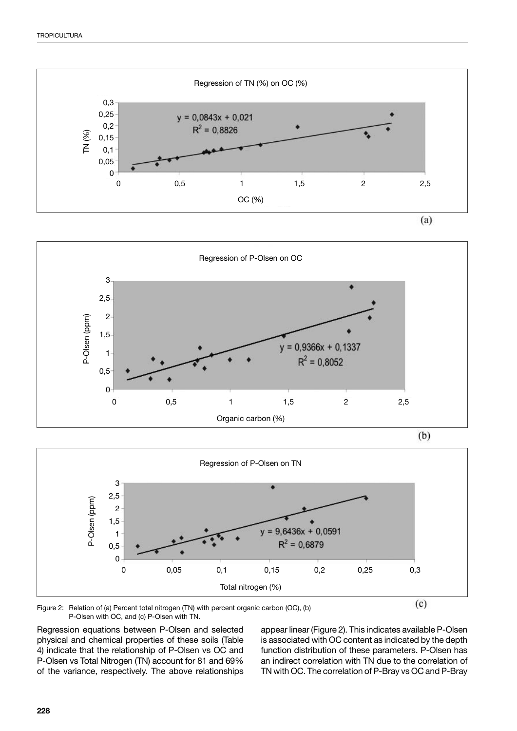





Figure 2: Relation of (a) Percent total nitrogen (TN) with percent organic carbon (OC), (b) P-Olsen with OC, and (c) P-Olsen with TN.

Regression equations between P-Olsen and selected physical and chemical properties of these soils (Table 4) indicate that the relationship of P-Olsen vs OC and P-Olsen vs Total Nitrogen (TN) account for 81 and 69% of the variance, respectively. The above relationships appear linear (Figure 2). This indicates available P-Olsen is associated with OC content as indicated by the depth function distribution of these parameters. P-Olsen has an indirect correlation with TN due to the correlation of TN with OC. The correlation of P-Bray vs OC and P-Bray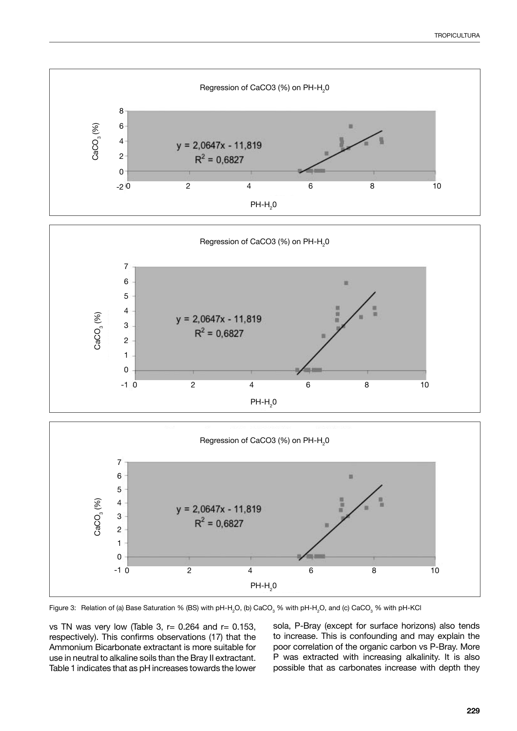





Figure 3: Relation of (a) Base Saturation % (BS) with pH-H<sub>2</sub>O, (b) CaCO<sub>3</sub> % with pH-H<sub>2</sub>O, and (c) CaCO<sub>3</sub> % with pH-KCl

vs TN was very low (Table 3,  $r= 0.264$  and  $r= 0.153$ , respectively). This confirms observations (17) that the Ammonium Bicarbonate extractant is more suitable for use in neutral to alkaline soils than the Bray II extractant. Table 1 indicates that as pH increases towards the lower sola, P-Bray (except for surface horizons) also tends to increase. This is confounding and may explain the poor correlation of the organic carbon vs P-Bray. More P was extracted with increasing alkalinity. It is also possible that as carbonates increase with depth they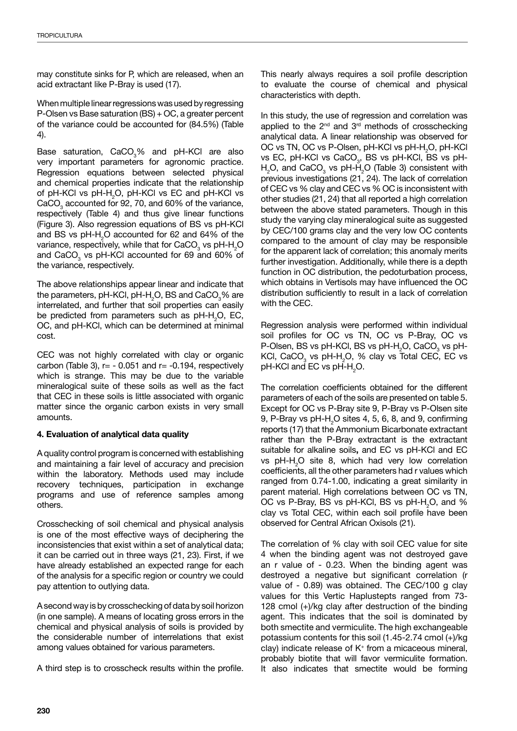may constitute sinks for P, which are released, when an acid extractant like P-Bray is used (17).

When multiple linear regressions was used by regressing P-Olsen vs Base saturation (BS) + OC, a greater percent of the variance could be accounted for (84.5%) (Table 4).

Base saturation, CaCO<sub>3</sub>% and pH-KCl are also very important parameters for agronomic practice. Regression equations between selected physical and chemical properties indicate that the relationship of pH-KCl vs pH-H<sub>2</sub>O, pH-KCl vs EC and pH-KCl vs  $CaCO<sub>3</sub>$  accounted for 92, 70, and 60% of the variance, respectively (Table 4) and thus give linear functions (Figure 3). Also regression equations of BS vs pH-KCl and BS vs pH-H<sub>2</sub>O accounted for 62 and 64% of the variance, respectively, while that for CaCO<sub>3</sub> vs pH-H<sub>2</sub>O and CaCO<sub>3</sub> vs pH-KCl accounted for 69 and 60% of the variance, respectively.

The above relationships appear linear and indicate that the parameters, pH-KCl, pH-H<sub>2</sub>O, BS and CaCO $_3\%$  are interrelated, and further that soil properties can easily be predicted from parameters such as  $pH-H_2O$ , EC, OC, and pH-KCl, which can be determined at minimal cost.

CEC was not highly correlated with clay or organic carbon (Table 3),  $r = -0.051$  and  $r = -0.194$ , respectively which is strange. This may be due to the variable mineralogical suite of these soils as well as the fact that CEC in these soils is little associated with organic matter since the organic carbon exists in very small amounts.

## **4. Evaluation of analytical data quality**

A quality control program is concerned with establishing and maintaining a fair level of accuracy and precision within the laboratory. Methods used may include recovery techniques, participation in exchange programs and use of reference samples among others.

Crosschecking of soil chemical and physical analysis is one of the most effective ways of deciphering the inconsistencies that exist within a set of analytical data; it can be carried out in three ways (21, 23). First, if we have already established an expected range for each of the analysis for a specific region or country we could pay attention to outlying data.

A second way is by crosschecking of data by soil horizon (in one sample). A means of locating gross errors in the chemical and physical analysis of soils is provided by the considerable number of interrelations that exist among values obtained for various parameters.

A third step is to crosscheck results within the profile.

This nearly always requires a soil profile description to evaluate the course of chemical and physical characteristics with depth.

In this study, the use of regression and correlation was applied to the  $2^{nd}$  and  $3^{rd}$  methods of crosschecking analytical data. A linear relationship was observed for OC vs TN, OC vs P-Olsen, pH-KCl vs pH-H $_{2}$ O, pH-KCl vs EC, pH-KCl vs CaCO $_{3}$ , BS vs pH-KCl, BS vs pH- $H<sub>2</sub>$ O, and CaCO<sub>3</sub> vs pH-H<sub>2</sub>O (Table 3) consistent with previous investigations (21, 24). The lack of correlation of CEC vs % clay and CEC vs % OC is inconsistent with other studies (21, 24) that all reported a high correlation between the above stated parameters. Though in this study the varying clay mineralogical suite as suggested by CEC/100 grams clay and the very low OC contents compared to the amount of clay may be responsible for the apparent lack of correlation; this anomaly merits further investigation. Additionally, while there is a depth function in OC distribution, the pedoturbation process, which obtains in Vertisols may have influenced the OC distribution sufficiently to result in a lack of correlation with the CEC.

Regression analysis were performed within individual soil profiles for OC vs TN, OC vs P-Bray, OC vs P-Olsen, BS vs pH-KCl, BS vs pH-H $_{\rm 2}$ O, CaCO $_{\rm 3}$  vs pH-KCl, CaCO<sub>3</sub> vs pH-H<sub>2</sub>O, % clay vs Total CEC, EC vs  $p$ H-KCl and EC vs  $p$ H-H $_{2}$ O.

The correlation coefficients obtained for the different parameters of each of the soils are presented on table 5. Except for OC vs P-Bray site 9, P-Bray vs P-Olsen site 9, P-Bray vs pH-H<sub>2</sub>O sites 4, 5, 6, 8, and 9, confirming reports (17) that the Ammonium Bicarbonate extractant rather than the P-Bray extractant is the extractant suitable for alkaline soils**,** and EC vs pH-KCl and EC vs  $pH - H<sub>2</sub>O$  site 8, which had very low correlation coefficients, all the other parameters had r values which ranged from 0.74-1.00, indicating a great similarity in parent material. High correlations between OC vs TN, OC vs P-Bray, BS vs pH-KCl, BS vs pH-H<sub>2</sub>O, and % clay vs Total CEC, within each soil profile have been observed for Central African Oxisols (21).

The correlation of % clay with soil CEC value for site 4 when the binding agent was not destroyed gave an r value of - 0.23. When the binding agent was destroyed a negative but significant correlation (r value of - 0.89) was obtained. The CEC/100 g clay values for this Vertic Haplustepts ranged from 73- 128 cmol (+)/kg clay after destruction of the binding agent. This indicates that the soil is dominated by both smectite and vermiculite. The high exchangeable potassium contents for this soil (1.45-2.74 cmol (+)/kg clay) indicate release of K+ from a micaceous mineral, probably biotite that will favor vermiculite formation. It also indicates that smectite would be forming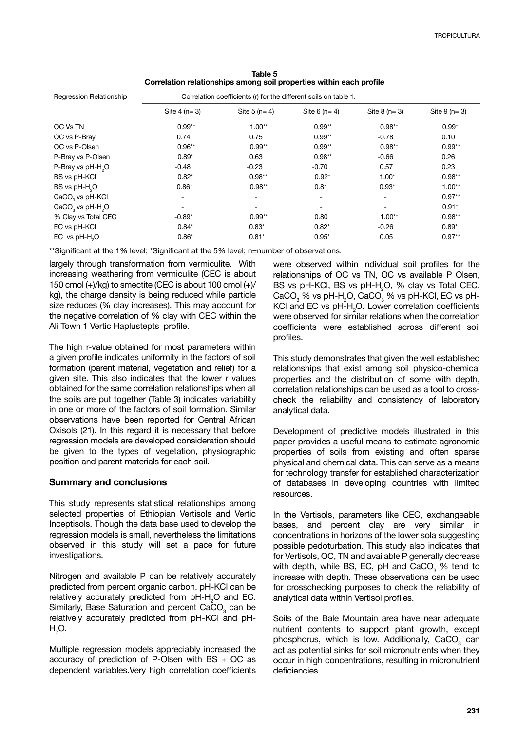| Correlation relationships among soil properties within each prome                           |               |               |               |                          |               |  |  |  |  |
|---------------------------------------------------------------------------------------------|---------------|---------------|---------------|--------------------------|---------------|--|--|--|--|
| Regression Relationship<br>Correlation coefficients (r) for the different soils on table 1. |               |               |               |                          |               |  |  |  |  |
|                                                                                             | Site $4(n=3)$ | Site $5(n=4)$ | Site $6(n=4)$ | Site $8(n=3)$            | Site $9(n=3)$ |  |  |  |  |
| OC Vs TN                                                                                    | $0.99**$      | $1.00**$      | $0.99**$      | $0.98**$                 | $0.99*$       |  |  |  |  |
| OC vs P-Bray                                                                                | 0.74          | 0.75          | $0.99**$      | $-0.78$                  | 0.10          |  |  |  |  |
| OC vs P-Olsen                                                                               | $0.96**$      | $0.99**$      | $0.99**$      | $0.98**$                 | $0.99**$      |  |  |  |  |
| P-Bray vs P-Olsen                                                                           | $0.89*$       | 0.63          | $0.98**$      | $-0.66$                  | 0.26          |  |  |  |  |
| P-Bray vs pH-H <sub>2</sub> O                                                               | $-0.48$       | $-0.23$       | $-0.70$       | 0.57                     | 0.23          |  |  |  |  |
| BS vs pH-KCI                                                                                | $0.82*$       | $0.98**$      | $0.92*$       | $1.00*$                  | $0.98**$      |  |  |  |  |
| BS vs pH-H <sub>2</sub> O                                                                   | $0.86*$       | $0.98**$      | 0.81          | $0.93*$                  | $1.00**$      |  |  |  |  |
| CaCO <sub>3</sub> vs pH-KCl                                                                 |               |               |               | $\overline{\phantom{0}}$ | $0.97**$      |  |  |  |  |
| $CaCO3$ vs pH-H <sub>2</sub> O                                                              |               |               |               | $\overline{\phantom{a}}$ | $0.91*$       |  |  |  |  |
| % Clay vs Total CEC                                                                         | $-0.89*$      | $0.99**$      | 0.80          | $1.00**$                 | $0.98**$      |  |  |  |  |
| EC vs pH-KCI                                                                                | $0.84*$       | $0.83*$       | $0.82*$       | $-0.26$                  | $0.89*$       |  |  |  |  |
| EC vs pH-H <sub>2</sub> O                                                                   | $0.86*$       | $0.81*$       | $0.95*$       | 0.05                     | $0.97**$      |  |  |  |  |

**Table 5 Correlation relationships among soil properties within each profile**

\*\*Significant at the 1% level; \*Significant at the 5% level; n=number of observations.

largely through transformation from vermiculite. With increasing weathering from vermiculite (CEC is about 150 cmol  $(+)/kg$ ) to smectite (CEC is about 100 cmol  $(+)/$ kg), the charge density is being reduced while particle size reduces (% clay increases). This may account for the negative correlation of % clay with CEC within the Ali Town 1 Vertic Haplustepts profile.

The high r-value obtained for most parameters within a given profile indicates uniformity in the factors of soil formation (parent material, vegetation and relief) for a given site. This also indicates that the lower r values obtained for the same correlation relationships when all the soils are put together (Table 3) indicates variability in one or more of the factors of soil formation. Similar observations have been reported for Central African Oxisols (21). In this regard it is necessary that before regression models are developed consideration should be given to the types of vegetation, physiographic position and parent materials for each soil.

## **Summary and conclusions**

This study represents statistical relationships among selected properties of Ethiopian Vertisols and Vertic Inceptisols. Though the data base used to develop the regression models is small, nevertheless the limitations observed in this study will set a pace for future investigations.

Nitrogen and available P can be relatively accurately predicted from percent organic carbon. pH-KCl can be relatively accurately predicted from  $pH - H_2O$  and EC. Similarly, Base Saturation and percent CaCO<sub>3</sub> can be relatively accurately predicted from pH-KCl and pH- $\mathsf{H}_2\mathsf{O}.$ 

Multiple regression models appreciably increased the accuracy of prediction of P-Olsen with  $BS + OC$  as dependent variables.Very high correlation coefficients were observed within individual soil profiles for the relationships of OC vs TN, OC vs available P Olsen, BS vs pH-KCl, BS vs pH- $H_2O$ , % clay vs Total CEC,  $\text{CaCO}_3^{\text{}}$ % vs pH-H $_2$ O, CaCO $_3^{\text{}}$ % vs pH-KCl, EC vs pH-KCI and EC vs  $pH - H<sub>2</sub>O$ . Lower correlation coefficients were observed for similar relations when the correlation coefficients were established across different soil profiles.

This study demonstrates that given the well established relationships that exist among soil physico-chemical properties and the distribution of some with depth, correlation relationships can be used as a tool to crosscheck the reliability and consistency of laboratory analytical data.

Development of predictive models illustrated in this paper provides a useful means to estimate agronomic properties of soils from existing and often sparse physical and chemical data. This can serve as a means for technology transfer for established characterization of databases in developing countries with limited resources.

In the Vertisols, parameters like CEC, exchangeable bases, and percent clay are very similar in concentrations in horizons of the lower sola suggesting possible pedoturbation. This study also indicates that for Vertisols, OC, TN and available P generally decrease with depth, while BS, EC, pH and  $\text{CaCO}_3^-$ % tend to increase with depth. These observations can be used for crosschecking purposes to check the reliability of analytical data within Vertisol profiles.

Soils of the Bale Mountain area have near adequate nutrient contents to support plant growth, except phosphorus, which is low. Additionally,  $CaCO<sub>3</sub>$  can act as potential sinks for soil micronutrients when they occur in high concentrations, resulting in micronutrient deficiencies.